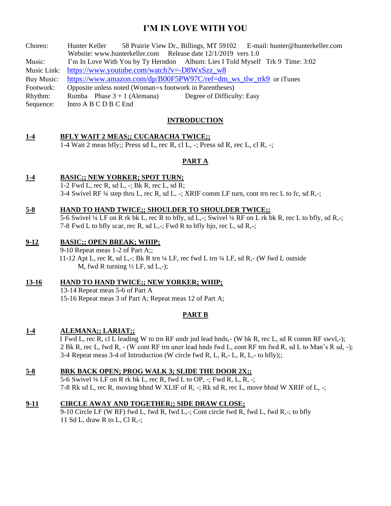# **I'M IN LOVE WITH YOU**

| Choreo:    | Hunter Keller                                                                 |                               |                            | 58 Prairie View Dr., Billings, MT 59102 E-mail: hunter@hunterkeller.com |
|------------|-------------------------------------------------------------------------------|-------------------------------|----------------------------|-------------------------------------------------------------------------|
|            | Website: www.hunterkeller.com Release date 12/1/2019 vers 1.0                 |                               |                            |                                                                         |
| Music:     | I'm In Love With You by Ty Herndon Album: Lies I Told Myself Trk 9 Time: 3:02 |                               |                            |                                                                         |
|            | Music Link: https://www.youtube.com/watch?v=-D8WxSzz_w8                       |                               |                            |                                                                         |
| Buy Music: | https://www.amazon.com/dp/B00F5PW97C/ref=dm ws tlw trk9 or iTunes             |                               |                            |                                                                         |
| Footwork:  | Opposite unless noted (Woman=s footwork in Parentheses)                       |                               |                            |                                                                         |
| Rhythm:    |                                                                               | Rumba Phase $3 + 1$ (Alemana) | Degree of Difficulty: Easy |                                                                         |
| Sequence:  | Intro A B C D B C End                                                         |                               |                            |                                                                         |

# **INTRODUCTION**

# **1-4 BFLY WAIT 2 MEAS;; CUCARACHA TWICE;;**

1-4 Wait 2 meas bfly;; Press sd L, rec R, cl L, -; Press sd R, rec L, cl R, -;

# **PART A**

## **1-4 BASIC;; NEW YORKER; SPOT TURN;**

1-2 Fwd L, rec R, sd L, -; Bk R, rec L, sd R; 3-4 Swivel RF ¼ step thru L, rec R, sd L, -; XRIF comm LF turn, cont trn rec L to fc, sd R,-;

#### **5-8 HAND TO HAND TWICE;; SHOULDER TO SHOULDER TWICE;;**

 5-6 Swivel ¼ LF on R rk bk L, rec R to bfly, sd L,-; Swivel ¼ RF on L rk bk R, rec L to bfly, sd R,-; 7-8 Fwd L to bfly scar, rec R, sd L,-; Fwd R to bfly bjo, rec L, sd R,-;

# **9-12 BASIC;; OPEN BREAK; WHIP;**

9-10 Repeat meas 1-2 of Part A;; 11-12 Apt L, rec R, sd L,-; Bk R trn  $\frac{1}{4}$  LF, rec fwd L trn  $\frac{1}{4}$  LF, sd R,- (W fwd L outside M, fwd R turning  $\frac{1}{2}$  LF, sd L,-);

# **13-16 HAND TO HAND TWICE;; NEW YORKER; WHIP;**

13-14 Repeat meas 5-6 of Part A 15-16 Repeat meas 3 of Part A; Repeat meas 12 of Part A;

# **PART B**

# **1-4 ALEMANA;; LARIAT;;**

 1 Fwd L, rec R, cl L leading W to trn RF undr jnd lead hnds,- (W bk R, rec L, sd R comm RF swvl,-); 2 Bk R, rec L, fwd R, - (W cont RF trn uner lead hnds fwd L, cont RF trn fwd R, sd L to Man's R sd, -); 3-4 Repeat meas 3-4 of Introduction (W circle fwd R, L, R,- L, R, L,- to bfly);;

## **5-8 BRK BACK OPEN; PROG WALK 3; SLIDE THE DOOR 2X;;**

5-6 Swivel ¼ LF on R rk bk L, rec R, fwd L to OP, -; Fwd R, L, R, -; 7-8 Rk sd L, rec R, moving bhnd W XLIF of R, -; Rk sd R, rec L, move bhnd W XRIF of L, -;

#### **9-11 CIRCLE AWAY AND TOGETHER;; SIDE DRAW CLOSE;**

9-10 Circle LF (W RF) fwd L, fwd R, fwd L,-; Cont circle fwd R, fwd L, fwd R,-; to bfly 11 Sd L, draw R to L, Cl R,-;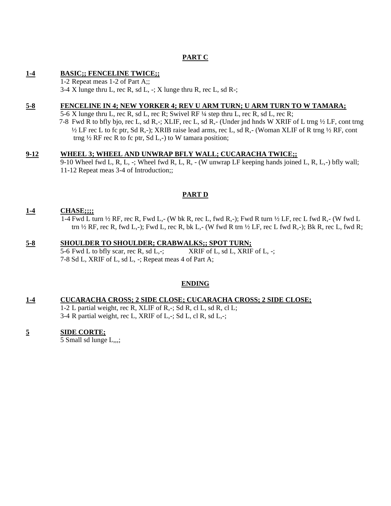# **PART C**

# **1-4 BASIC;; FENCELINE TWICE;;**

1-2 Repeat meas 1-2 of Part A;; 3-4 X lunge thru L, rec R, sd L,  $\div$ ; X lunge thru R, rec L, sd R $\div$ ;

# **5-8 FENCELINE IN 4; NEW YORKER 4; REV U ARM TURN; U ARM TURN TO W TAMARA;**

5-6 X lunge thru L, rec R, sd L, rec R; Swivel RF ¼ step thru L, rec R, sd L, rec R;

 7-8 Fwd R to bfly bjo, rec L, sd R,-; XLIF, rec L, sd R,- (Under jnd hnds W XRIF of L trng ½ LF, cont trng ½ LF rec L to fc ptr, Sd R,-); XRIB raise lead arms, rec L, sd R,- (Woman XLIF of R trng ½ RF, cont trng  $\frac{1}{2}$  RF rec R to fc ptr, Sd L,-) to W tamara position;

# **9-12 WHEEL 3; WHEEL AND UNWRAP BFLY WALL; CUCARACHA TWICE;;**

9-10 Wheel fwd L, R, L, -; Wheel fwd R, L, R, - (W unwrap LF keeping hands joined L, R, L,-) bfly wall; 11-12 Repeat meas 3-4 of Introduction;;

# **PART D**

# **1-4 CHASE;;;;**

 1-4 Fwd L turn ½ RF, rec R, Fwd L,- (W bk R, rec L, fwd R,-); Fwd R turn ½ LF, rec L fwd R,- (W fwd L trn  $\frac{1}{2}$  RF, rec R, fwd L,-); Fwd L, rec R, bk L,- (W fwd R trn  $\frac{1}{2}$  LF, rec L fwd R,-); Bk R, rec L, fwd R;

## **5-8 SHOULDER TO SHOULDER; CRABWALKS;; SPOT TURN;** 5-6 Fwd L to bfly scar, rec R, sd L,-;  $XRIF$  of L, sd L,  $XRIF$  of L, -; 7-8 Sd L, XRIF of L, sd L, -; Repeat meas 4 of Part A;

**ENDING**

# **1-4 CUCARACHA CROSS; 2 SIDE CLOSE; CUCARACHA CROSS; 2 SIDE CLOSE;**

1-2 L partial weight, rec R, XLIF of R,-; Sd R, cl L, sd R, cl L; 3-4 R partial weight, rec L, XRIF of L,-; Sd L, cl R, sd L,-;

# **5 SIDE CORTE;**

5 Small sd lunge L,,,;